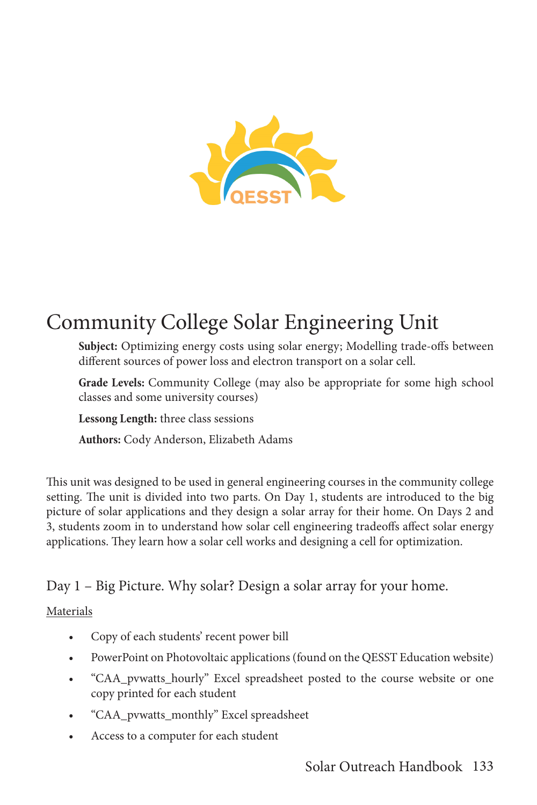

# Community College Solar Engineering Unit

**Subject:** Optimizing energy costs using solar energy; Modelling trade-offs between different sources of power loss and electron transport on a solar cell.

**Grade Levels:** Community College (may also be appropriate for some high school classes and some university courses)

**Lessong Length:** three class sessions

**Authors:** Cody Anderson, Elizabeth Adams

This unit was designed to be used in general engineering courses in the community college setting. The unit is divided into two parts. On Day 1, students are introduced to the big picture of solar applications and they design a solar array for their home. On Days 2 and 3, students zoom in to understand how solar cell engineering tradeoffs affect solar energy applications. They learn how a solar cell works and designing a cell for optimization.

Day 1 – Big Picture. Why solar? Design a solar array for your home.

## Materials

- Copy of each students' recent power bill
- PowerPoint on Photovoltaic applications (found on the QESST Education website)
- "CAA\_pvwatts\_hourly" Excel spreadsheet posted to the course website or one copy printed for each student
- "CAA\_pvwatts\_monthly" Excel spreadsheet
- Access to a computer for each student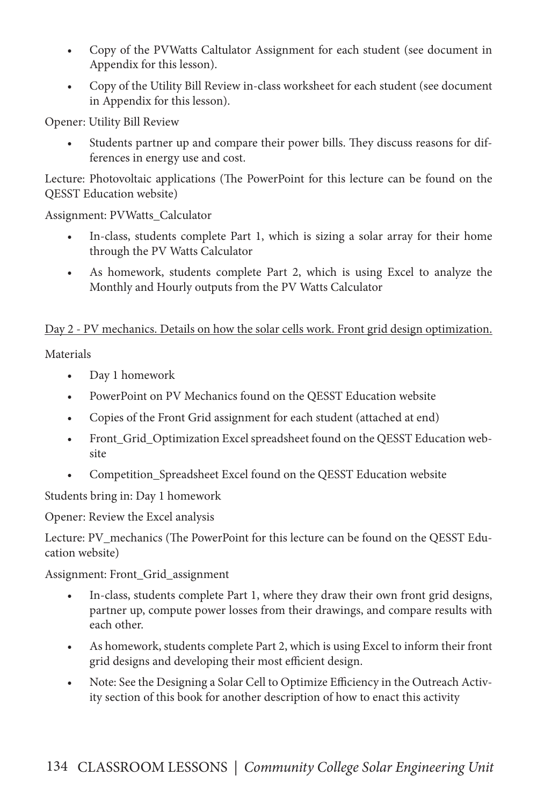- Copy of the PVWatts Caltulator Assignment for each student (see document in Appendix for this lesson).
- Copy of the Utility Bill Review in-class worksheet for each student (see document in Appendix for this lesson).

Opener: Utility Bill Review

Students partner up and compare their power bills. They discuss reasons for differences in energy use and cost.

Lecture: Photovoltaic applications (The PowerPoint for this lecture can be found on the QESST Education website)

Assignment: PVWatts\_Calculator

- In-class, students complete Part 1, which is sizing a solar array for their home through the PV Watts Calculator
- As homework, students complete Part 2, which is using Excel to analyze the Monthly and Hourly outputs from the PV Watts Calculator

## Day 2 - PV mechanics. Details on how the solar cells work. Front grid design optimization.

**Materials** 

- Day 1 homework
- PowerPoint on PV Mechanics found on the QESST Education website
- Copies of the Front Grid assignment for each student (attached at end)
- Front\_Grid\_Optimization Excel spreadsheet found on the QESST Education website
- Competition\_Spreadsheet Excel found on the QESST Education website

Students bring in: Day 1 homework

Opener: Review the Excel analysis

Lecture: PV\_mechanics (The PowerPoint for this lecture can be found on the QESST Education website)

Assignment: Front\_Grid\_assignment

- In-class, students complete Part 1, where they draw their own front grid designs, partner up, compute power losses from their drawings, and compare results with each other.
- As homework, students complete Part 2, which is using Excel to inform their front grid designs and developing their most efficient design.
- Note: See the Designing a Solar Cell to Optimize Efficiency in the Outreach Activity section of this book for another description of how to enact this activity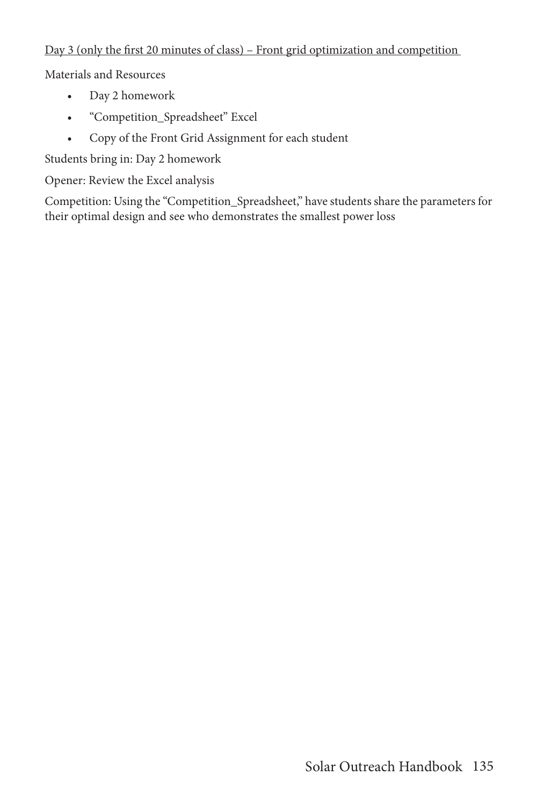### Day 3 (only the first 20 minutes of class) – Front grid optimization and competition

Materials and Resources

- Day 2 homework
- "Competition\_Spreadsheet" Excel
- Copy of the Front Grid Assignment for each student

Students bring in: Day 2 homework

Opener: Review the Excel analysis

Competition: Using the "Competition\_Spreadsheet," have students share the parameters for their optimal design and see who demonstrates the smallest power loss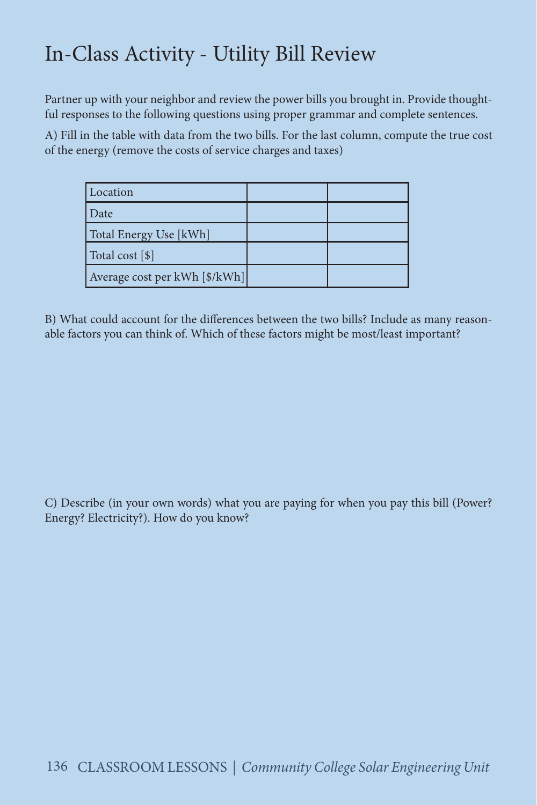# In-Class Activity - Utility Bill Review

Partner up with your neighbor and review the power bills you brought in. Provide thoughtful responses to the following questions using proper grammar and complete sentences.

A) Fill in the table with data from the two bills. For the last column, compute the true cost of the energy (remove the costs of service charges and taxes)

| Location                       |  |
|--------------------------------|--|
| l Date                         |  |
| Total Energy Use [kWh]         |  |
| Total cost [\$]                |  |
| Average cost per kWh [\$/kWh]] |  |

B) What could account for the differences between the two bills? Include as many reasonable factors you can think of. Which of these factors might be most/least important?

C) Describe (in your own words) what you are paying for when you pay this bill (Power? Energy? Electricity?). How do you know?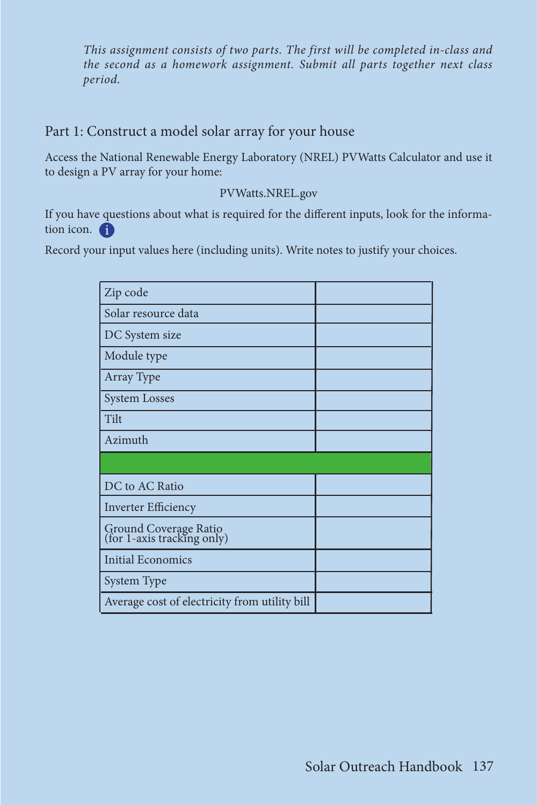*This assignment consists of two parts. The first will be completed in-class and the second as a homework assignment. Submit all parts together next class period.*

## Part 1: Construct a model solar array for your house

Access the National Renewable Energy Laboratory (NREL) PVWatts Calculator and use it to design a PV array for your home:

### PVWatts.NREL.gov

If you have questions about what is required for the different inputs, look for the information icon.

Record your input values here (including units). Write notes to justify your choices.

| Zip code                                            |  |
|-----------------------------------------------------|--|
|                                                     |  |
| Solar resource data                                 |  |
| DC System size                                      |  |
| Module type                                         |  |
| Array Type                                          |  |
| <b>System Losses</b>                                |  |
| Tilt                                                |  |
| Azimuth                                             |  |
|                                                     |  |
| DC to AC Ratio                                      |  |
| <b>Inverter Efficiency</b>                          |  |
| Ground Coverage Ratio<br>(for 1-axis tracking only) |  |
| <b>Initial Economics</b>                            |  |
| System Type                                         |  |
| Average cost of electricity from utility bill       |  |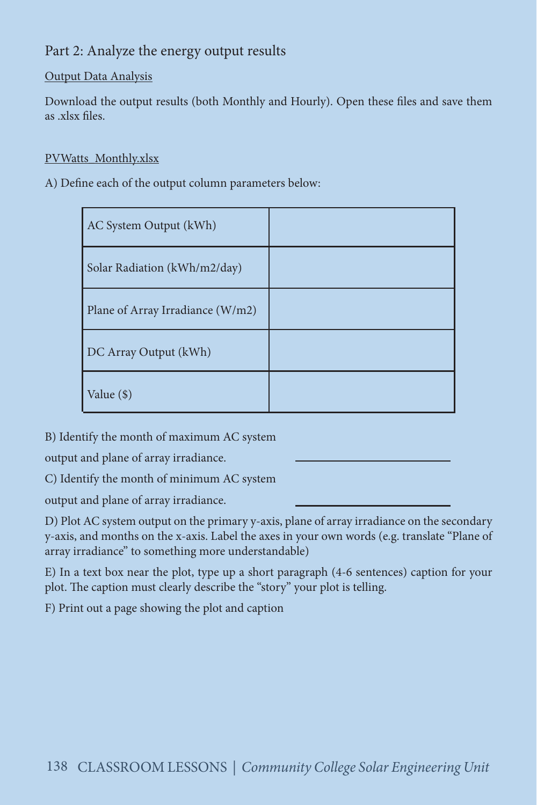## Part 2: Analyze the energy output results

### Output Data Analysis

Download the output results (both Monthly and Hourly). Open these files and save them as .xlsx files.

### PVWatts\_Monthly.xlsx

A) Define each of the output column parameters below:

| AC System Output (kWh)           |  |
|----------------------------------|--|
| Solar Radiation (kWh/m2/day)     |  |
| Plane of Array Irradiance (W/m2) |  |
| DC Array Output (kWh)            |  |
| Value (\$)                       |  |

B) Identify the month of maximum AC system

output and plane of array irradiance.

C) Identify the month of minimum AC system

output and plane of array irradiance.

D) Plot AC system output on the primary y-axis, plane of array irradiance on the secondary y-axis, and months on the x-axis. Label the axes in your own words (e.g. translate "Plane of array irradiance" to something more understandable)

E) In a text box near the plot, type up a short paragraph (4-6 sentences) caption for your plot. The caption must clearly describe the "story" your plot is telling.

F) Print out a page showing the plot and caption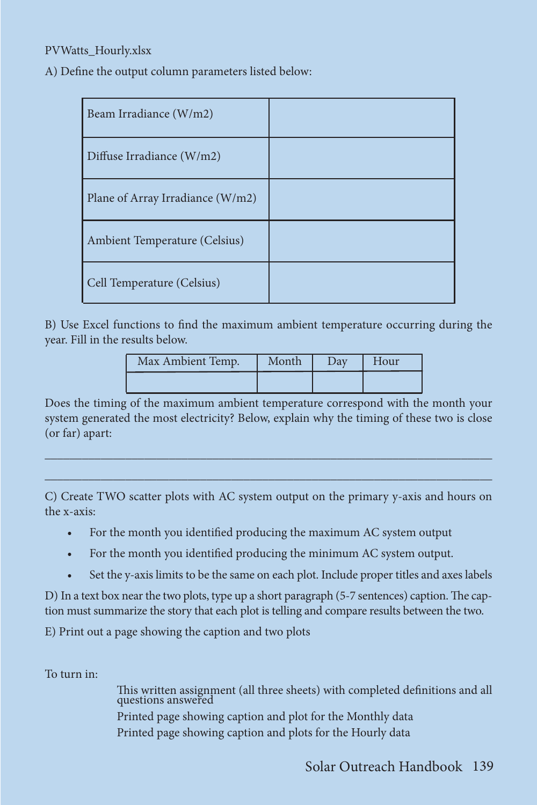### PVWatts\_Hourly.xlsx

A) Define the output column parameters listed below:

| Beam Irradiance (W/m2)           |  |
|----------------------------------|--|
| Diffuse Irradiance (W/m2)        |  |
| Plane of Array Irradiance (W/m2) |  |
| Ambient Temperature (Celsius)    |  |
| Cell Temperature (Celsius)       |  |

B) Use Excel functions to find the maximum ambient temperature occurring during the year. Fill in the results below.

| Max Ambient Temp. | Month | Day | Hour |
|-------------------|-------|-----|------|
|                   |       |     |      |

Does the timing of the maximum ambient temperature correspond with the month your system generated the most electricity? Below, explain why the timing of these two is close (or far) apart:

 $\mathcal{L}_\text{max}$  and  $\mathcal{L}_\text{max}$  and  $\mathcal{L}_\text{max}$  and  $\mathcal{L}_\text{max}$  and  $\mathcal{L}_\text{max}$  and  $\mathcal{L}_\text{max}$ \_\_\_\_\_\_\_\_\_\_\_\_\_\_\_\_\_\_\_\_\_\_\_\_\_\_\_\_\_\_\_\_\_\_\_\_\_\_\_\_\_\_\_\_\_\_\_\_\_\_\_\_\_\_\_\_\_\_\_\_\_\_\_\_\_\_\_\_\_\_\_\_

C) Create TWO scatter plots with AC system output on the primary y-axis and hours on the x-axis:

- For the month you identified producing the maximum AC system output
- For the month you identified producing the minimum AC system output.
- Set the y-axis limits to be the same on each plot. Include proper titles and axes labels

D) In a text box near the two plots, type up a short paragraph (5-7 sentences) caption. The caption must summarize the story that each plot is telling and compare results between the two.

E) Print out a page showing the caption and two plots

To turn in:

This written assignment (all three sheets) with completed definitions and all questions answered

Printed page showing caption and plot for the Monthly data Printed page showing caption and plots for the Hourly data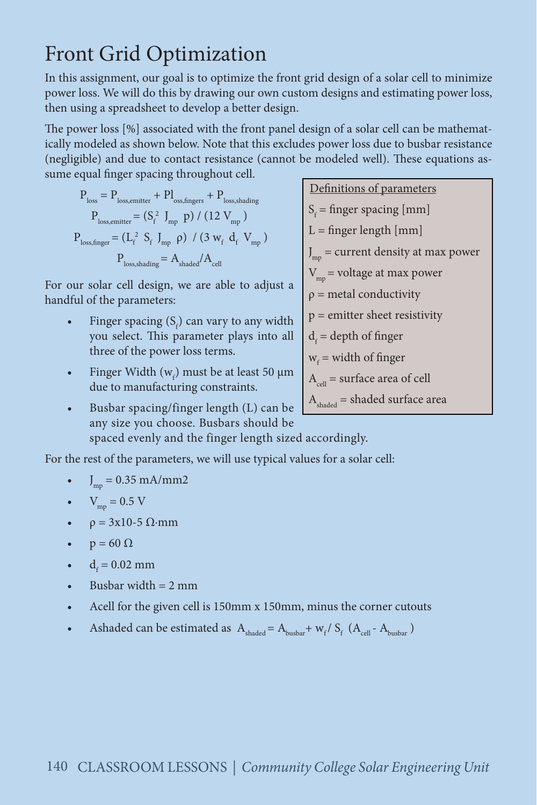# Front Grid Optimization

In this assignment, our goal is to optimize the front grid design of a solar cell to minimize power loss. We will do this by drawing our own custom designs and estimating power loss, then using a spreadsheet to develop a better design.

The power loss [%] associated with the front panel design of a solar cell can be mathematically modeled as shown below. Note that this excludes power loss due to busbar resistance (negligible) and due to contact resistance (cannot be modeled well). These equations assume equal finger spacing throughout cell.

$$
\begin{aligned} \mathbf{P}_{\mathrm{loss}} &= \mathbf{P}_{\mathrm{loss,emitter}} + \mathbf{P}\mathbf{I}_{\mathrm{oss,fngers}} + \mathbf{P}_{\mathrm{loss,shading}} \\ \mathbf{P}_{\mathrm{loss,emitter}} &= \left(\mathbf{S}_{\mathrm{f}}^{2} \begin{array}{c} \mathbf{J}_{\mathrm{mp}} \\ \mathbf{D}_{\mathrm{p}} \end{array}\right) / \left(12 \begin{array}{c} \mathbf{V}_{\mathrm{mp}} \\ \end{array}\right) \\ \mathbf{P}_{\mathrm{loss,finger}} &= \left(\mathbf{L}_{\mathrm{f}}^{2} \begin{array}{c} \mathbf{S}_{\mathrm{f}} \end{array}\right)_{\mathrm{mp}} \begin{array}{c} \rho \end{array} / \left(3 \begin{array}{c} \mathbf{W}_{\mathrm{f}} \end{array}\mathbf{d}_{\mathrm{f}} \begin{array}{c} \mathbf{V}_{\mathrm{mp}} \\ \end{array}\right) \\ \mathbf{P}_{\mathrm{loss,shading}} &= \mathbf{A}_{\mathrm{shaded}} / \mathbf{A}_{\mathrm{cell}} \end{aligned}
$$

For our solar cell design, we are able to adjust a handful of the parameters:

- Finger spacing  $(S_f)$  can vary to any width you select. This parameter plays into all three of the power loss terms.
- Finger Width  $(w_f)$  must be at least 50  $\mu$ m due to manufacturing constraints.
- Definitions of parameters  $S_f$  = finger spacing [mm]  $L =$  finger length  $[mm]$ J mp = current density at max power  $V_{mn}$  = voltage at max power  $\rho$  = metal conductivity  $p =$  emitter sheet resistivity  $d_f$  = depth of finger  $w_f$  = width of finger  $A_{\text{cell}}$  = surface area of cell  $A<sub>shaded</sub>$  = shaded surface area
- Busbar spacing/finger length (L) can be any size you choose. Busbars should be spaced evenly and the finger length sized accordingly.

For the rest of the parameters, we will use typical values for a solar cell:

- $J_{mp} = 0.35$  mA/mm2
- $V_{\text{mp}} = 0.5 \text{ V}$
- $\rho = 3x10-5 \Omega$ ·mm
- $p = 60 \Omega$
- $d_f = 0.02$  mm
- Busbar width  $= 2$  mm
- Acell for the given cell is 150mm x 150mm, minus the corner cutouts
- Ashaded can be estimated as  $A_{\text{shaded}} = A_{\text{busbar}} + w_f / S_f (A_{\text{cell}} A_{\text{busbar}})$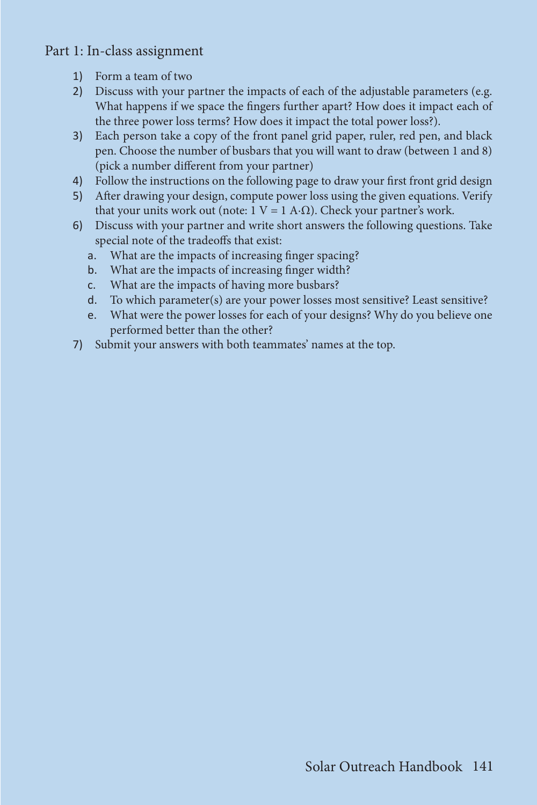Part 1: In-class assignment

- 1) Form a team of two
- 2) Discuss with your partner the impacts of each of the adjustable parameters (e.g. What happens if we space the fingers further apart? How does it impact each of the three power loss terms? How does it impact the total power loss?).
- 3) Each person take a copy of the front panel grid paper, ruler, red pen, and black pen. Choose the number of busbars that you will want to draw (between 1 and 8) (pick a number different from your partner)
- 4) Follow the instructions on the following page to draw your first front grid design
- 5) After drawing your design, compute power loss using the given equations. Verify that your units work out (note:  $1 V = 1 A·Ω$ ). Check your partner's work.
- 6) Discuss with your partner and write short answers the following questions. Take special note of the tradeoffs that exist:
	- a. What are the impacts of increasing finger spacing?
	- b. What are the impacts of increasing finger width?
	- c. What are the impacts of having more busbars?
	- d. To which parameter(s) are your power losses most sensitive? Least sensitive?
	- e. What were the power losses for each of your designs? Why do you believe one performed better than the other?
- 7) Submit your answers with both teammates' names at the top.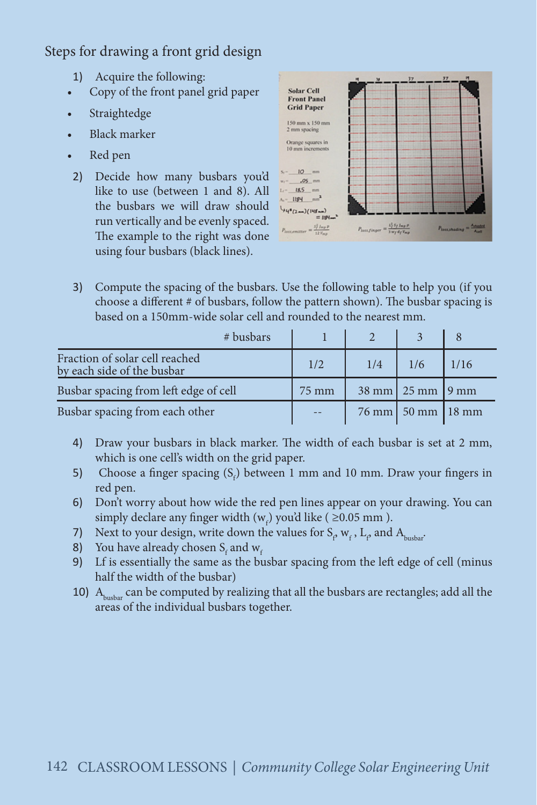## Steps for drawing a front grid design

- 1) Acquire the following:
- Copy of the front panel grid paper
- Straightedge
- Black marker
- Red pen
- 2) Decide how many busbars you'd like to use (between 1 and 8). All the busbars we will draw should run vertically and be evenly spaced. The example to the right was done using four busbars (black lines).



3) Compute the spacing of the busbars. Use the following table to help you (if you choose a different # of busbars, follow the pattern shown). The busbar spacing is based on a 150mm-wide solar cell and rounded to the nearest mm.

| $#$ busbars                                                  |       |     |                                                    |      |
|--------------------------------------------------------------|-------|-----|----------------------------------------------------|------|
| Fraction of solar cell reached<br>by each side of the busbar | 1/2   | 1/4 | 1/6                                                | 1/16 |
| Busbar spacing from left edge of cell                        | 75 mm |     | $38 \text{ mm}$   $25 \text{ mm}$   $9 \text{ mm}$ |      |
| Busbar spacing from each other                               |       |     | 76 mm   50 mm   18 mm                              |      |

- 4) Draw your busbars in black marker. The width of each busbar is set at 2 mm, which is one cell's width on the grid paper.
- 5) Choose a finger spacing  $(S_f)$  between 1 mm and 10 mm. Draw your fingers in red pen.
- 6) Don't worry about how wide the red pen lines appear on your drawing. You can simply declare any finger width  $(w_f)$  you'd like ( $\geq$ 0.05 mm).
- 7) Next to your design, write down the values for  $S_\rho w_f$ ,  $L_\rho$  and  $A_{\text{busbar}}$ .
- 8) You have already chosen  $S_f$  and  $W_f$
- 9) Lf is essentially the same as the busbar spacing from the left edge of cell (minus half the width of the busbar)
- 10)  $A<sub>hushar</sub>$  can be computed by realizing that all the busbars are rectangles; add all the areas of the individual busbars together.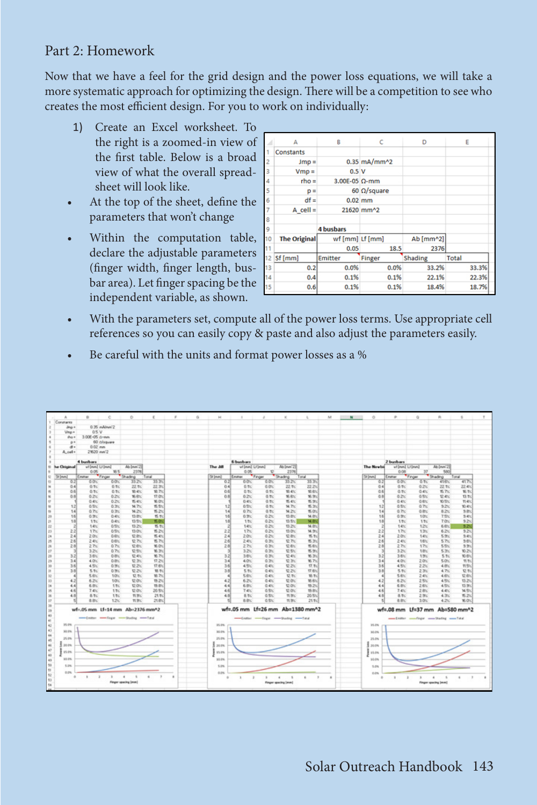## Part 2: Homework

Now that we have a feel for the grid design and the power loss equations, we will take a more systematic approach for optimizing the design. There will be a competition to see who creates the most efficient design. For you to work on individually:

- 1) Create an Excel worksheet. To the right is a zoomed-in view of the first table. Below is a broad view of what the overall spreadsheet will look like.
- At the top of the sheet, define the parameters that won't change
- Within the computation table, declare the adjustable parameters (finger width, finger length, busbar area). Let finger spacing be the independent variable, as shown.

|    | А                   | B                     | c                   | D         | E            |
|----|---------------------|-----------------------|---------------------|-----------|--------------|
|    | Constants           |                       |                     |           |              |
| 2  | $Jmp =$             |                       | $0.35$ mA/mm^2      |           |              |
| 3  | $Vmp =$             | 0.5V                  |                     |           |              |
| 4  | $rho =$             | 3.00E-05 $\Omega$ -mm |                     |           |              |
| 5  | $p =$               |                       | 60 $\Omega$ /square |           |              |
| 6  | $df =$              | $0.02$ <sub>mm</sub>  |                     |           |              |
| 7  | $A$ cell =          |                       | 21620 mm^2          |           |              |
| 8  |                     |                       |                     |           |              |
| 9  |                     | <b>4 busbars</b>      |                     |           |              |
| 10 | <b>The Original</b> | wf [mm] Lf [mm]       |                     | Ab [mm^2] |              |
| 11 |                     | 0.05                  | 18.5                | 2376      |              |
| 12 | Sf [mm]             | <b>Emitter</b>        | <b>Finger</b>       | Shading   | <b>Total</b> |
| 13 | 0.2                 | 0.0%                  | 0.0%                | 33.2%     | 33.3%        |
| 14 | 0.4                 | 0.1%                  | 0.1%                | 22.1%     | 22.3%        |
| 15 | 0.6                 | 0.1%                  | 0.1%                | 18.4%     | 18.7%        |

- With the parameters set, compute all of the power loss terms. Use appropriate cell references so you can easily copy & paste and also adjust the parameters easily.
- Be careful with the units and format power losses as a %

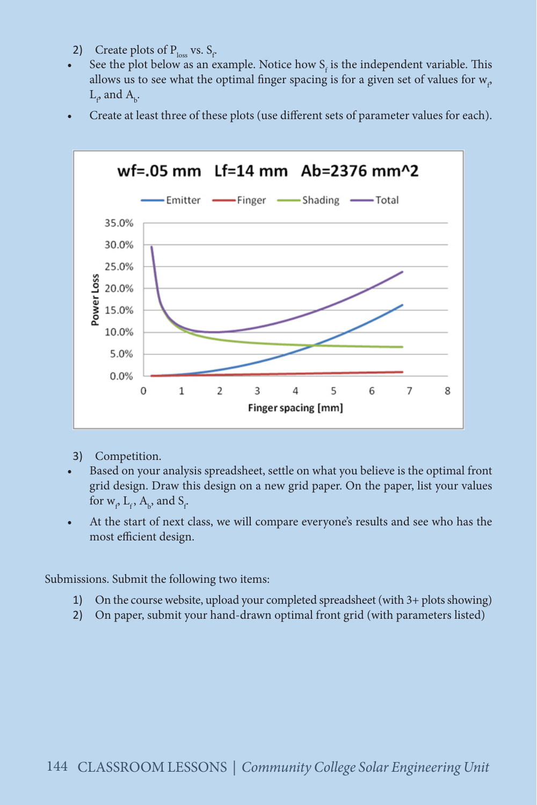- 2) Create plots of  $P_{loss}$  vs.  $S_f$ .
- See the plot below as an example. Notice how  $S_f$  is the independent variable. This allows us to see what the optimal finger spacing is for a given set of values for  $w_\rho$  $\mathop{\rm L}\nolimits_{\rho}$  and  $\mathop{\rm A}\nolimits_{\rm b}$ .
- Create at least three of these plots (use different sets of parameter values for each).



- 3) Competition.
- Based on your analysis spreadsheet, settle on what you believe is the optimal front grid design. Draw this design on a new grid paper. On the paper, list your values for  $w_{\rho} L_{f}$ ,  $A_{b}$ , and  $S_{f}$
- At the start of next class, we will compare everyone's results and see who has the most efficient design.

Submissions. Submit the following two items:

- 1) On the course website, upload your completed spreadsheet (with 3+ plots showing)
- 2) On paper, submit your hand-drawn optimal front grid (with parameters listed)